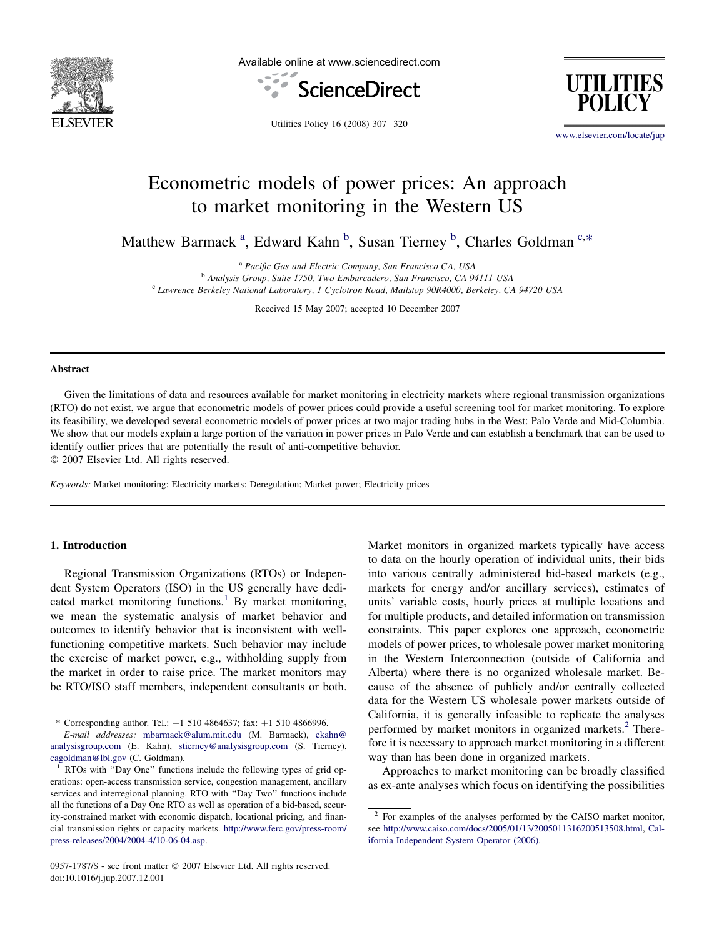

Available online at www.sciencedirect.com



**UTILITIES** 

Utilities Policy 16 (2008) 307-320

[www.elsevier.com/locate/jup](http://www.elsevier.com/locate/jup)

## Econometric models of power prices: An approach to market monitoring in the Western US

Matthew Barmack<sup>a</sup>, Edward Kahn<sup>b</sup>, Susan Tierney<sup>b</sup>, Charles Goldman<sup>c,\*</sup>

<sup>a</sup> Pacific Gas and Electric Company, San Francisco CA, USA<br><sup>b</sup> Analysis Group, Suite 1750, Two Embarcadero, San Francisco, CA 94111 USA<br><sup>c</sup> Lawrence Berkeley National Laboratory. 1 Cyclotron Road. Mailstop 90R4000. Berkel

Received 15 May 2007; accepted 10 December 2007

#### Abstract

Given the limitations of data and resources available for market monitoring in electricity markets where regional transmission organizations (RTO) do not exist, we argue that econometric models of power prices could provide a useful screening tool for market monitoring. To explore its feasibility, we developed several econometric models of power prices at two major trading hubs in the West: Palo Verde and Mid-Columbia. We show that our models explain a large portion of the variation in power prices in Palo Verde and can establish a benchmark that can be used to identify outlier prices that are potentially the result of anti-competitive behavior. © 2007 Elsevier Ltd. All rights reserved.

Keywords: Market monitoring; Electricity markets; Deregulation; Market power; Electricity prices

### 1. Introduction

Regional Transmission Organizations (RTOs) or Independent System Operators (ISO) in the US generally have dedicated market monitoring functions.<sup>1</sup> By market monitoring, we mean the systematic analysis of market behavior and outcomes to identify behavior that is inconsistent with wellfunctioning competitive markets. Such behavior may include the exercise of market power, e.g., withholding supply from the market in order to raise price. The market monitors may be RTO/ISO staff members, independent consultants or both.

0957-1787/\$ - see front matter © 2007 Elsevier Ltd. All rights reserved. doi:10.1016/j.jup.2007.12.001

Market monitors in organized markets typically have access to data on the hourly operation of individual units, their bids into various centrally administered bid-based markets (e.g., markets for energy and/or ancillary services), estimates of units' variable costs, hourly prices at multiple locations and for multiple products, and detailed information on transmission constraints. This paper explores one approach, econometric models of power prices, to wholesale power market monitoring in the Western Interconnection (outside of California and Alberta) where there is no organized wholesale market. Because of the absence of publicly and/or centrally collected data for the Western US wholesale power markets outside of California, it is generally infeasible to replicate the analyses performed by market monitors in organized markets.<sup>2</sup> Therefore it is necessary to approach market monitoring in a different way than has been done in organized markets.

Approaches to market monitoring can be broadly classified as ex-ante analyses which focus on identifying the possibilities

<sup>\*</sup> Corresponding author. Tel.:  $+1$  510 4864637; fax:  $+1$  510 4866996.

E-mail addresses: [mbarmack@alum.mit.edu](mailto:mbarmack@alum.mit.edu) (M. Barmack), [ekahn@](mailto:ekahn@analysisgroup.com) [analysisgroup.com](mailto:ekahn@analysisgroup.com) (E. Kahn), [stierney@analysisgroup.com](mailto:stierney@analysisgroup.com) (S. Tierney), [cagoldman@lbl.gov](mailto:cagoldman@lbl.gov) (C. Goldman).

RTOs with "Day One" functions include the following types of grid operations: open-access transmission service, congestion management, ancillary services and interregional planning. RTO with ''Day Two'' functions include all the functions of a Day One RTO as well as operation of a bid-based, security-constrained market with economic dispatch, locational pricing, and financial transmission rights or capacity markets. [http://www.ferc.gov/press-room/](http://www.ferc.gov/press-room/press-releases/2004/2004-4/10-06-04.asp) [press-releases/2004/2004-4/10-06-04.asp.](http://www.ferc.gov/press-room/press-releases/2004/2004-4/10-06-04.asp)

<sup>&</sup>lt;sup>2</sup> For examples of the analyses performed by the CAISO market monitor, see <http://www.caiso.com/docs/2005/01/13/2005011316200513508.html>, [Cal](#page--1-0)[ifornia Independent System Operator \(2006\).](#page--1-0)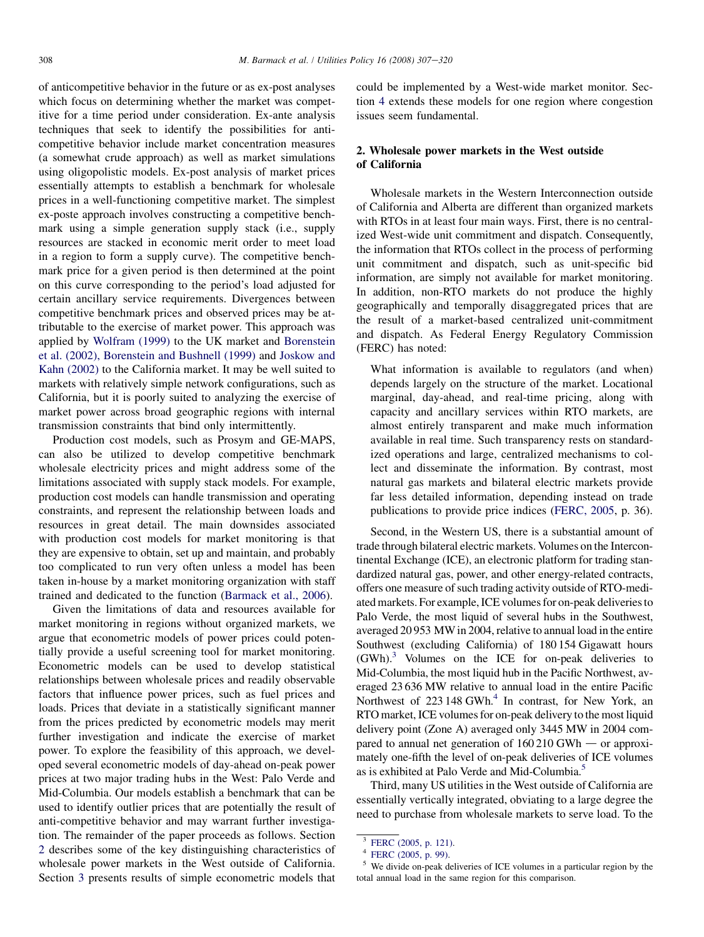of anticompetitive behavior in the future or as ex-post analyses which focus on determining whether the market was competitive for a time period under consideration. Ex-ante analysis techniques that seek to identify the possibilities for anticompetitive behavior include market concentration measures (a somewhat crude approach) as well as market simulations using oligopolistic models. Ex-post analysis of market prices essentially attempts to establish a benchmark for wholesale prices in a well-functioning competitive market. The simplest ex-poste approach involves constructing a competitive benchmark using a simple generation supply stack (i.e., supply resources are stacked in economic merit order to meet load in a region to form a supply curve). The competitive benchmark price for a given period is then determined at the point on this curve corresponding to the period's load adjusted for certain ancillary service requirements. Divergences between competitive benchmark prices and observed prices may be attributable to the exercise of market power. This approach was applied by [Wolfram \(1999\)](#page--1-0) to the UK market and [Borenstein](#page--1-0) [et al. \(2002\), Borenstein and Bushnell \(1999\)](#page--1-0) and [Joskow and](#page--1-0) [Kahn \(2002\)](#page--1-0) to the California market. It may be well suited to markets with relatively simple network configurations, such as California, but it is poorly suited to analyzing the exercise of market power across broad geographic regions with internal transmission constraints that bind only intermittently.

Production cost models, such as Prosym and GE-MAPS, can also be utilized to develop competitive benchmark wholesale electricity prices and might address some of the limitations associated with supply stack models. For example, production cost models can handle transmission and operating constraints, and represent the relationship between loads and resources in great detail. The main downsides associated with production cost models for market monitoring is that they are expensive to obtain, set up and maintain, and probably too complicated to run very often unless a model has been taken in-house by a market monitoring organization with staff trained and dedicated to the function [\(Barmack et al., 2006\)](#page--1-0).

Given the limitations of data and resources available for market monitoring in regions without organized markets, we argue that econometric models of power prices could potentially provide a useful screening tool for market monitoring. Econometric models can be used to develop statistical relationships between wholesale prices and readily observable factors that influence power prices, such as fuel prices and loads. Prices that deviate in a statistically significant manner from the prices predicted by econometric models may merit further investigation and indicate the exercise of market power. To explore the feasibility of this approach, we developed several econometric models of day-ahead on-peak power prices at two major trading hubs in the West: Palo Verde and Mid-Columbia. Our models establish a benchmark that can be used to identify outlier prices that are potentially the result of anti-competitive behavior and may warrant further investigation. The remainder of the paper proceeds as follows. Section 2 describes some of the key distinguishing characteristics of wholesale power markets in the West outside of California. Section [3](#page--1-0) presents results of simple econometric models that

could be implemented by a West-wide market monitor. Section [4](#page--1-0) extends these models for one region where congestion issues seem fundamental.

### 2. Wholesale power markets in the West outside of California

Wholesale markets in the Western Interconnection outside of California and Alberta are different than organized markets with RTOs in at least four main ways. First, there is no centralized West-wide unit commitment and dispatch. Consequently, the information that RTOs collect in the process of performing unit commitment and dispatch, such as unit-specific bid information, are simply not available for market monitoring. In addition, non-RTO markets do not produce the highly geographically and temporally disaggregated prices that are the result of a market-based centralized unit-commitment and dispatch. As Federal Energy Regulatory Commission (FERC) has noted:

What information is available to regulators (and when) depends largely on the structure of the market. Locational marginal, day-ahead, and real-time pricing, along with capacity and ancillary services within RTO markets, are almost entirely transparent and make much information available in real time. Such transparency rests on standardized operations and large, centralized mechanisms to collect and disseminate the information. By contrast, most natural gas markets and bilateral electric markets provide far less detailed information, depending instead on trade publications to provide price indices [\(FERC, 2005,](#page--1-0) p. 36).

Second, in the Western US, there is a substantial amount of trade through bilateral electric markets. Volumes on the Intercontinental Exchange (ICE), an electronic platform for trading standardized natural gas, power, and other energy-related contracts, offers one measure of such trading activity outside of RTO-mediated markets. For example, ICE volumes for on-peak deliveries to Palo Verde, the most liquid of several hubs in the Southwest, averaged 20 953 MW in 2004, relative to annual load in the entire Southwest (excluding California) of 180 154 Gigawatt hours (GWh).3 Volumes on the ICE for on-peak deliveries to Mid-Columbia, the most liquid hub in the Pacific Northwest, averaged 23 636 MW relative to annual load in the entire Pacific Northwest of 223 148 GWh.<sup>4</sup> In contrast, for New York, an RTO market, ICE volumes for on-peak delivery to the most liquid delivery point (Zone A) averaged only 3445 MW in 2004 compared to annual net generation of  $160\,210$  GWh  $-$  or approximately one-fifth the level of on-peak deliveries of ICE volumes as is exhibited at Palo Verde and Mid-Columbia.<sup>5</sup>

Third, many US utilities in the West outside of California are essentially vertically integrated, obviating to a large degree the need to purchase from wholesale markets to serve load. To the

 $3$  [FERC \(2005, p. 121\).](#page--1-0)<br>  $4$  [FERC \(2005, p. 99\).](#page--1-0)<br>  $5$  We divide on-peak deliveries of ICE volumes in a particular region by the total annual load in the same region for this comparison.